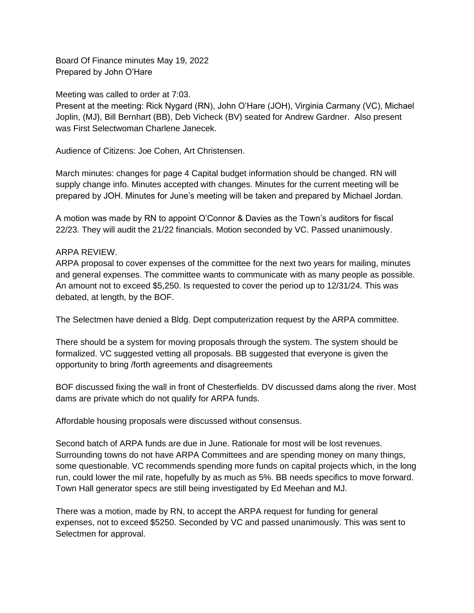Board Of Finance minutes May 19, 2022 Prepared by John O'Hare

Meeting was called to order at 7:03.

Present at the meeting: Rick Nygard (RN), John O'Hare (JOH), Virginia Carmany (VC), Michael Joplin, (MJ), Bill Bernhart (BB), Deb Vicheck (BV) seated for Andrew Gardner. Also present was First Selectwoman Charlene Janecek.

Audience of Citizens: Joe Cohen, Art Christensen.

March minutes: changes for page 4 Capital budget information should be changed. RN will supply change info. Minutes accepted with changes. Minutes for the current meeting will be prepared by JOH. Minutes for June's meeting will be taken and prepared by Michael Jordan.

A motion was made by RN to appoint O'Connor & Davies as the Town's auditors for fiscal 22/23. They will audit the 21/22 financials. Motion seconded by VC. Passed unanimously.

## ARPA REVIEW.

ARPA proposal to cover expenses of the committee for the next two years for mailing, minutes and general expenses. The committee wants to communicate with as many people as possible. An amount not to exceed \$5,250. Is requested to cover the period up to 12/31/24. This was debated, at length, by the BOF.

The Selectmen have denied a Bldg. Dept computerization request by the ARPA committee.

There should be a system for moving proposals through the system. The system should be formalized. VC suggested vetting all proposals. BB suggested that everyone is given the opportunity to bring /forth agreements and disagreements

BOF discussed fixing the wall in front of Chesterfields. DV discussed dams along the river. Most dams are private which do not qualify for ARPA funds.

Affordable housing proposals were discussed without consensus.

Second batch of ARPA funds are due in June. Rationale for most will be lost revenues. Surrounding towns do not have ARPA Committees and are spending money on many things, some questionable. VC recommends spending more funds on capital projects which, in the long run, could lower the mil rate, hopefully by as much as 5%. BB needs specifics to move forward. Town Hall generator specs are still being investigated by Ed Meehan and MJ.

There was a motion, made by RN, to accept the ARPA request for funding for general expenses, not to exceed \$5250. Seconded by VC and passed unanimously. This was sent to Selectmen for approval.